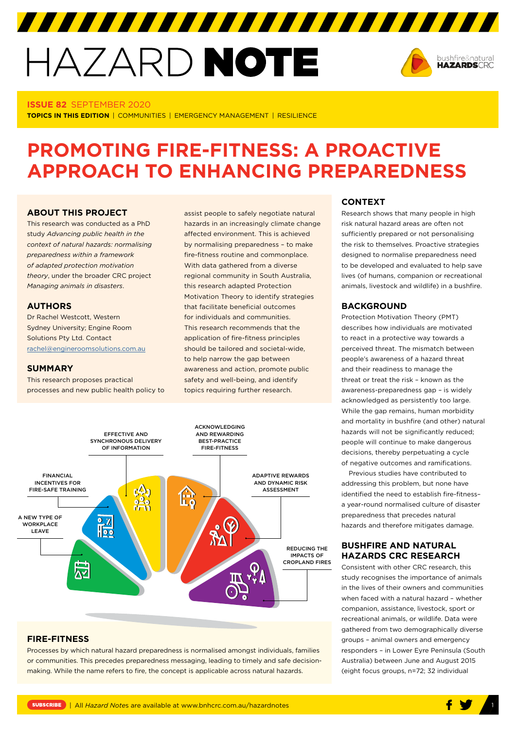# HAZARD NOTE



#### **ISSUE 82** SEPTEMBER 2020

**TOPICS IN THIS EDITION** | COMMUNITIES | EMERGENCY MANAGEMENT | RESILIENCE

# **PROMOTING FIRE-FITNESS: A PROACTIVE APPROACH TO ENHANCING PREPAREDNESS**

## **ABOUT THIS PROJECT**

This research was conducted as a PhD study *Advancing public health in the context of natural hazards: normalising preparedness within a framework of adapted protection motivation theory*, under the broader CRC project *Managing animals in disasters*.

#### **AUTHORS**

Dr Rachel Westcott, Western Sydney University; Engine Room Solutions Pty Ltd. Contact [rachel@engineroomsolutions.com.au](mailto:rachel@engineroomsolutions.com.au)

#### **SUMMARY**

This research proposes practical processes and new public health policy to assist people to safely negotiate natural hazards in an increasingly climate change affected environment. This is achieved by normalising preparedness – to make fire-fitness routine and commonplace. With data gathered from a diverse regional community in South Australia, this research adapted Protection Motivation Theory to identify strategies that facilitate beneficial outcomes for individuals and communities. This research recommends that the application of fire-fitness principles should be tailored and societal-wide, to help narrow the gap between awareness and action, promote public safety and well-being, and identify topics requiring further research.



#### **FIRE-FITNESS**

Processes by which natural hazard preparedness is normalised amongst individuals, families or communities. This precedes preparedness messaging, leading to timely and safe decisionmaking. While the name refers to fire, the concept is applicable across natural hazards.

#### **CONTEXT**

Research shows that many people in high risk natural hazard areas are often not sufficiently prepared or not personalising the risk to themselves. Proactive strategies designed to normalise preparedness need to be developed and evaluated to help save lives (of humans, companion or recreational animals, livestock and wildlife) in a bushfire.

#### **BACKGROUND**

Protection Motivation Theory (PMT) describes how individuals are motivated to react in a protective way towards a perceived threat. The mismatch between people's awareness of a hazard threat and their readiness to manage the threat or treat the risk – known as the awareness-preparedness gap *–* is widely acknowledged as persistently too large. While the gap remains, human morbidity and mortality in bushfire (and other) natural hazards will not be significantly reduced; people will continue to make dangerous decisions, thereby perpetuating a cycle of negative outcomes and ramifications.

Previous studies have contributed to addressing this problem, but none have identified the need to establish fire-fitness– a year-round normalised culture of disaster preparedness that precedes natural hazards and therefore mitigates damage.

# **BUSHFIRE AND NATURAL HAZARDS CRC RESEARCH**

Consistent with other CRC research, this study recognises the importance of animals in the lives of their owners and communities when faced with a natural hazard – whether companion, assistance, livestock, sport or recreational animals, or wildlife. Data were gathered from two demographically diverse groups – animal owners and emergency responders – in Lower Eyre Peninsula (South Australia) between June and August 2015 (eight focus groups, n=72; 32 individual